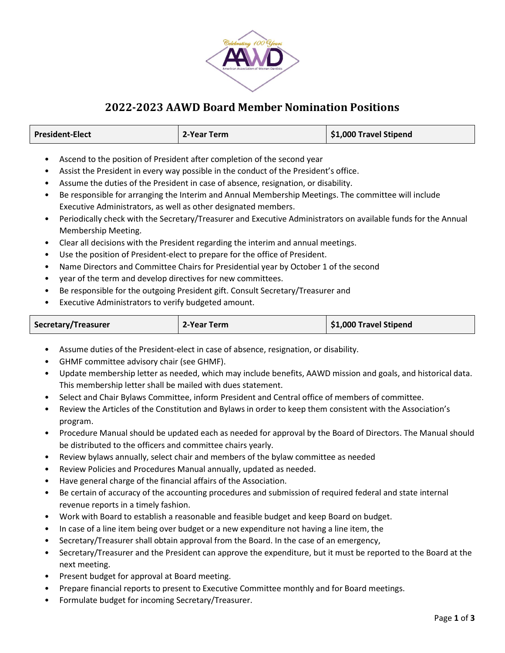

## 2022-2023 AAWD Board Member Nomination Positions

| <b>President-Elect</b> | 2-Year Term | \$1,000 Travel Stipend |
|------------------------|-------------|------------------------|
|------------------------|-------------|------------------------|

- Ascend to the position of President after completion of the second year
- Assist the President in every way possible in the conduct of the President's office.
- Assume the duties of the President in case of absence, resignation, or disability.
- Be responsible for arranging the Interim and Annual Membership Meetings. The committee will include Executive Administrators, as well as other designated members.
- Periodically check with the Secretary/Treasurer and Executive Administrators on available funds for the Annual Membership Meeting.
- Clear all decisions with the President regarding the interim and annual meetings.
- Use the position of President-elect to prepare for the office of President.
- Name Directors and Committee Chairs for Presidential year by October 1 of the second
- year of the term and develop directives for new committees.
- Be responsible for the outgoing President gift. Consult Secretary/Treasurer and
- Executive Administrators to verify budgeted amount.

|  | Secretary/Treasurer | 2-Year Term | \$1,000 Travel Stipend |
|--|---------------------|-------------|------------------------|
|--|---------------------|-------------|------------------------|

- Assume duties of the President-elect in case of absence, resignation, or disability.
- GHMF committee advisory chair (see GHMF).
- Update membership letter as needed, which may include benefits, AAWD mission and goals, and historical data. This membership letter shall be mailed with dues statement.
- Select and Chair Bylaws Committee, inform President and Central office of members of committee.
- Review the Articles of the Constitution and Bylaws in order to keep them consistent with the Association's program.
- Procedure Manual should be updated each as needed for approval by the Board of Directors. The Manual should be distributed to the officers and committee chairs yearly.
- Review bylaws annually, select chair and members of the bylaw committee as needed
- Review Policies and Procedures Manual annually, updated as needed.
- Have general charge of the financial affairs of the Association.
- Be certain of accuracy of the accounting procedures and submission of required federal and state internal revenue reports in a timely fashion.
- Work with Board to establish a reasonable and feasible budget and keep Board on budget.
- In case of a line item being over budget or a new expenditure not having a line item, the
- Secretary/Treasurer shall obtain approval from the Board. In the case of an emergency,
- Secretary/Treasurer and the President can approve the expenditure, but it must be reported to the Board at the next meeting.
- Present budget for approval at Board meeting.
- Prepare financial reports to present to Executive Committee monthly and for Board meetings.
- Formulate budget for incoming Secretary/Treasurer.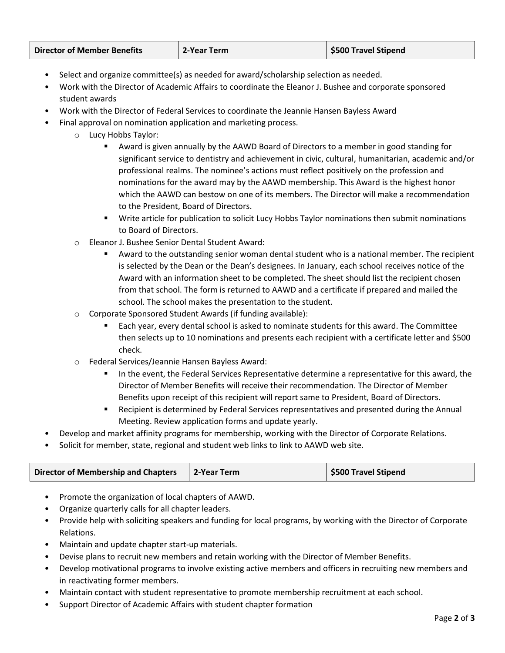| <b>Director of Member Benefits</b> | 2-Year Term | \$500 Travel Stipend |
|------------------------------------|-------------|----------------------|
|------------------------------------|-------------|----------------------|

- Select and organize committee(s) as needed for award/scholarship selection as needed.
- Work with the Director of Academic Affairs to coordinate the Eleanor J. Bushee and corporate sponsored student awards
- Work with the Director of Federal Services to coordinate the Jeannie Hansen Bayless Award
- Final approval on nomination application and marketing process.
	- o Lucy Hobbs Taylor:
		- Award is given annually by the AAWD Board of Directors to a member in good standing for significant service to dentistry and achievement in civic, cultural, humanitarian, academic and/or professional realms. The nominee's actions must reflect positively on the profession and nominations for the award may by the AAWD membership. This Award is the highest honor which the AAWD can bestow on one of its members. The Director will make a recommendation to the President, Board of Directors.
		- Write article for publication to solicit Lucy Hobbs Taylor nominations then submit nominations to Board of Directors.
	- o Eleanor J. Bushee Senior Dental Student Award:
		- Award to the outstanding senior woman dental student who is a national member. The recipient is selected by the Dean or the Dean's designees. In January, each school receives notice of the Award with an information sheet to be completed. The sheet should list the recipient chosen from that school. The form is returned to AAWD and a certificate if prepared and mailed the school. The school makes the presentation to the student.
	- o Corporate Sponsored Student Awards (if funding available):
		- Each year, every dental school is asked to nominate students for this award. The Committee then selects up to 10 nominations and presents each recipient with a certificate letter and \$500 check.
	- o Federal Services/Jeannie Hansen Bayless Award:
		- In the event, the Federal Services Representative determine a representative for this award, the Director of Member Benefits will receive their recommendation. The Director of Member Benefits upon receipt of this recipient will report same to President, Board of Directors.
		- Recipient is determined by Federal Services representatives and presented during the Annual Meeting. Review application forms and update yearly.
- Develop and market affinity programs for membership, working with the Director of Corporate Relations.
- Solicit for member, state, regional and student web links to link to AAWD web site.

| Director of Membership and Chapters | 2-Year Term | <b>S500 Travel Stipend</b> |
|-------------------------------------|-------------|----------------------------|
|-------------------------------------|-------------|----------------------------|

- Promote the organization of local chapters of AAWD.
- Organize quarterly calls for all chapter leaders.
- Provide help with soliciting speakers and funding for local programs, by working with the Director of Corporate Relations.
- Maintain and update chapter start-up materials.
- Devise plans to recruit new members and retain working with the Director of Member Benefits.
- Develop motivational programs to involve existing active members and officers in recruiting new members and in reactivating former members.
- Maintain contact with student representative to promote membership recruitment at each school.
- Support Director of Academic Affairs with student chapter formation